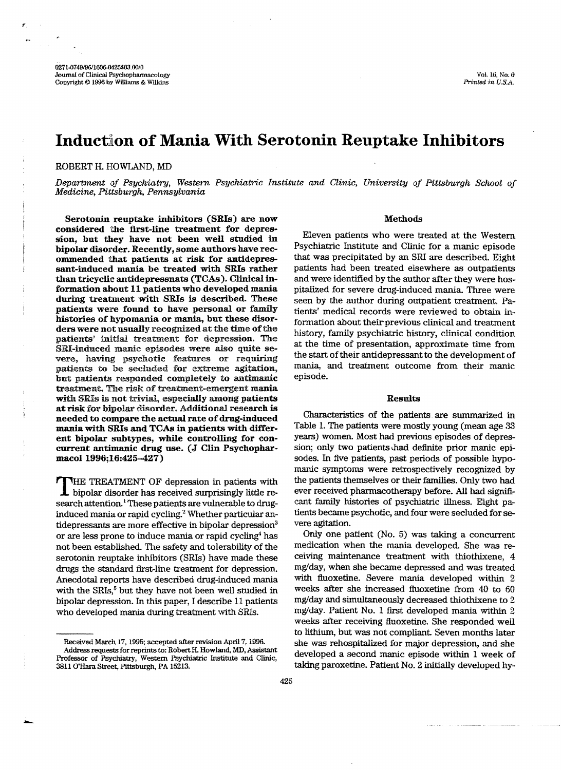# Induction of Mania With Serotonin Reuptake Inhibitors

# ROBERT H. HOWLAND, MD

*Department of Psychiatry, Western Psychiatric Institute and Clinic, University of Pittsburgh School of Medicine, Pittsburgh, Pennsylvania* 

Serotonin reuptake inhibitors (SRIs) are now considered the first-line treatment for depression, but they have not been well studied in bipolar disorder. Recently, some authors have recommended that patients at risk for antidepressant-induced mania be treated with SRIs rather than tricyclic antidepressnats (TCAs). Clinical information about 11 patients who developed mania during treatment with SRIs is described. These patients were found to have personal or family histories of hypomania or mania, but these disorders were not usually recognized at the time ofthe patients' initial treatment for depression. The SRI-induced manic episodes were also quite severe, having psychotic features or requiring patients to be secluded for extreme agitation, but patients responded completely to antimanic treatment. The risk of treatment-emergent mania with SRIs is not trivial, especially among patients atrisk for bipolar disorder. Additional research is needed to compare the actual rate of drug-induced mania with SRIs and TCAs in patients with different bipolar subtypes, while controlling for concurrent antimanic drug use. (J Clin Psychopharmacol 1996;16:425-427)

THE TREATMENT OF depression in patients with bipolar disorder has received surprisingly little research attention.<sup>1</sup> These patients are vulnerable to druginduced mania or rapid cycling.<sup>2</sup> Whether particular antidepressants are more effective in bipolar depression<sup>3</sup> or are less prone to induce mania or rapid cycling<sup>4</sup> has not been established. The safety and tolerability of the serotonin reuptake inhibitors (SRls) have made these drugs the standard first-line treatment for depression. Anecdotal reports have described drug-induced mania with the  $SRIs$ <sup>5</sup> but they have not been well studied in bipolar depression. In this paper, I describe 11 patients who developed mania during treatment with SRIs.

## Methods

Eleven patients who were treated at the Western Psychiatric Institute and Clinic for a manic episode that was precipitated by an SRI are described. Eight patients had been treated elsewhere as outpatients and were identified by the author after they were hospitalized for severe drug-induced mania. Three were seen by the author during outpatient treatment. Patients' medical records were reviewed to obtain information about their-previous clinical and treatment history, family psychiatric history, clinical condition at the time of presentation, approximate time from the start of their antidepressant to the development of mania, and treatment outcome from their manic episode.

# Results

Characteristics of the patients. are summarized in Table 1. The patients were mostly young (mean age 33 years) women. Most had previous episodes of depression; only two patients had definite prior manic episodes. In five patients, past periods of possible hypomanic symptoms were retrospectively recognized by the patients themselves or their families. Only two had ever received pharmacotherapy before. All had significant family histories of psychiatric illness. Eight patients became psychotic, and four were secluded for severe agitation.

Only one patient (No.5) was taking a concurrent medication when the mania developed. She was receiving maintenance treatment with thiothixene, 4 mg/day, when she became depressed and was treated with fluoxetine. Severe mania developed within 2 weeks after she increased fluoxetine from 40 to 60 mg/day and simultaneously decreased thiothixene to 2 mg/day\_ Patient No. 1 first developed mania within 2 weeks after receiving fluoxetine. She responded well to lithium, but was not compliant. Seven months later she was rehospitalized for major depression, and she developed a second manic episode within 1 week of taking paroxetine. Patient No. 2 initially developed hy-

Received March 17, 1995; accepted after revision April 7, 1996. Address requests for reprints to: Robert H. Howland, MD, Assistant Professor of Psychiatry, Western Psychiatric Institute and Clinic, 3811 O'Hara Street, Pittsburgh, PA 15213.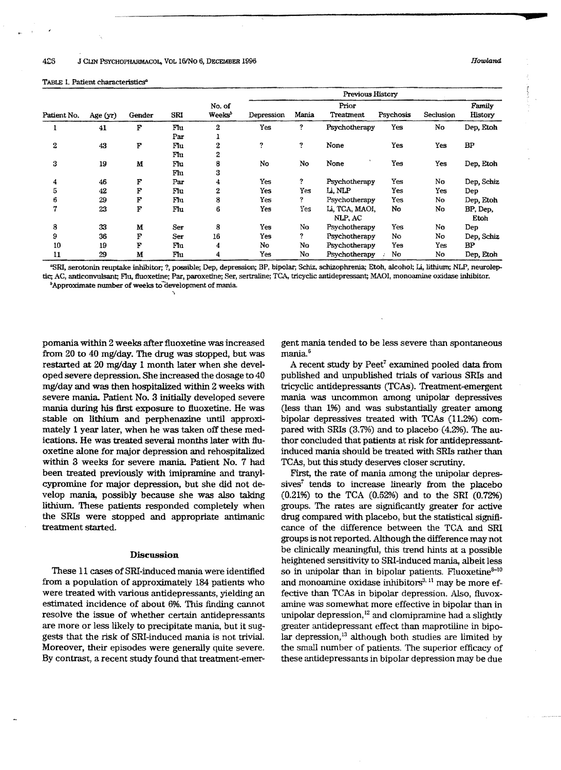#### TABLE 1. Patient characteristics"

, <sup>~</sup>

| Patient No. | Age (yr) | Gender | SRI | No. of<br>Weeks <sup>3</sup> | Previous History |       |                    |           |           |                   |
|-------------|----------|--------|-----|------------------------------|------------------|-------|--------------------|-----------|-----------|-------------------|
|             |          |        |     |                              | Depression       | Mania | Prior<br>Treatment | Psychosis | Seclusion | Family<br>History |
|             | 41       | F      | Flu | $\overline{2}$               | Yes              | ?     | Psychotherapy      | Yes       | No        | Dep, Etoh         |
|             |          |        | Par |                              |                  |       |                    |           |           |                   |
| 2           | 43       | F      | Flu | 2                            | ?                | Ŷ.    | None               | Yes       | Yes       | BP                |
|             |          |        | Flu | 2                            |                  |       |                    |           |           |                   |
| 3           | 19       | M      | Flu | 8                            | No               | No    | None               | Yes       | Yes       | Dep, Etoh         |
|             |          |        | Flu | 3                            |                  |       |                    |           |           |                   |
| 4           | 46       | F      | Par | 4                            | Yes              | ?     | Psychotherapy      | Yes       | No        | Dep, Schiz        |
| 5           | 42       | F      | Flu | 2                            | Yes              | Yes   | Li, NLP            | Yes       | Yes       | Dep               |
| 6           | 29       | F      | Flu | 8                            | Yes              | ?     | Psychotherapy      | Yes       | No        | Dep, Etoh         |
| 7           | 23       | F      | Flu | 6                            | Yes              | Yes   | Li, TCA, MAOI,     | No        | No        | BP, Dep,          |
|             |          |        |     |                              |                  |       | NLP, AC            |           |           | Etoh              |
| 8           | 33       | M      | Ser | 8                            | Yes              | No    | Psychotherapy      | Yes       | No        | Dep               |
| 9           | 36       | F      | Ser | 16                           | Yes              | ?     | Psychotherapy      | No        | No        | Dep, Schiz        |
| 10          | 19       | F      | Flu | 4                            | No               | No    | Psychotherapy      | Yes       | Yes.      | <b>BP</b>         |
| 11          | 29       | M      | Flu | 4                            | Yes              | No    | Psychotherapy      | No        | No        | Dep, Etoh         |

"SRI, serotonin reuptake inhibitor; ?, possible; Dep, depression; BP, bipolar; Schi.z, schizophrenia; Etoh, alcohol; Li, lithium; NLP, neuroleptic; AC, anticonvulsant; Flu, fluoxetine; Par, paroxetine; Ser, sertraline; TCA, tricyclic antidepressant; MAOI, monoamine oxidase inhibitor. *b*Approximate number of weeks to development of mania.

pomania within 2 weeks after fluoxetine was increased from 20 to 40 mg/day. The drug was stopped, but was restarted at 20 mg/day 1 month later when she developed severe depression. She increased the dosage to 40 mg/dayand was then hospitalized within 2weeks with severe mania. Patient No.3 initially developed severe mania during his first exposure to fluoxetine. He was stable on lithium and perphenazine until approximately 1 year later, when he was taken off these medications. He was treated several months later with fiuoxetine alone for major depression and rehospitalized within 3 weeks for severe mania. Patient No. 7 had been treated previously with imipramine and tranylcypromine for major depression, but she did not develop mania, possibly because she was also taking lithium. These patients responded completely when the SRIs were stopped and appropriate antimanic treatment started.

~

# Discussion

These 11 cases of SRI-induced mania were identified from a population of approximately 184 patients who were treated with various antidepressants, yielding an estimated incidence of about 6%. This finding cannot resolve the issue of whether certain antidepressants are more or less likely to precipitate mania, but it suggests that the risk of SRI-induced mania is not trivial. Moreover, their episodes were generally quite severe. By contrast, a recent study found that treatment-emer-

gent mania tended to be less severe than spontaneous mania.6

A recent study by Peet<sup>7</sup> examined pooled data from published and unpublished trials of various SRIs and tricyclic antidepressants (TCAs). Treatment-emergent mania was uncommon among unipolar depressives (less than 1%) and was substantially greater among bipolar depressives treated with TCAs  $(11.2%)$  compared with SRIs (3.7%) and to placebo (4.2%). The author concluded that patients at risk for antidepressantinduced mania should be treated with SRIs rather than TCAs, but this study deserves closer scrutiny.

First, the rate of mania among the unipolar depressives<sup> $\tau$ </sup> tends to increase linearly from the placebo  $(0.21\%)$  to the TCA  $(0.52\%)$  and to the SRI  $(0.72\%)$ groups. The rates are significantly greater for active drug compared with placebo, but the statistical significance of the difference between the TCA and SRI groups is not reported. Although the difference may not be clinically meaningful, this trend hints at a possible heightened sensitivity to SRI-induced mania, albeit less so in unipolar than in bipolar patients. Fluoxetine $8-10$ and monoamine oxidase inhibitors $^{3,11}$  may be more effective than TCAs in bipolar depression. Also, fluvoxamine was somewhat more effective in bipolar than in unipolar depression, $^{12}$  and clomipramine had a slightly greater antidepressant effect than maprotiline in bipolar depression, $13$  although both studies are limited by the small number of patients. The superior efficacy of these antidepressants in bipolar depression may be due